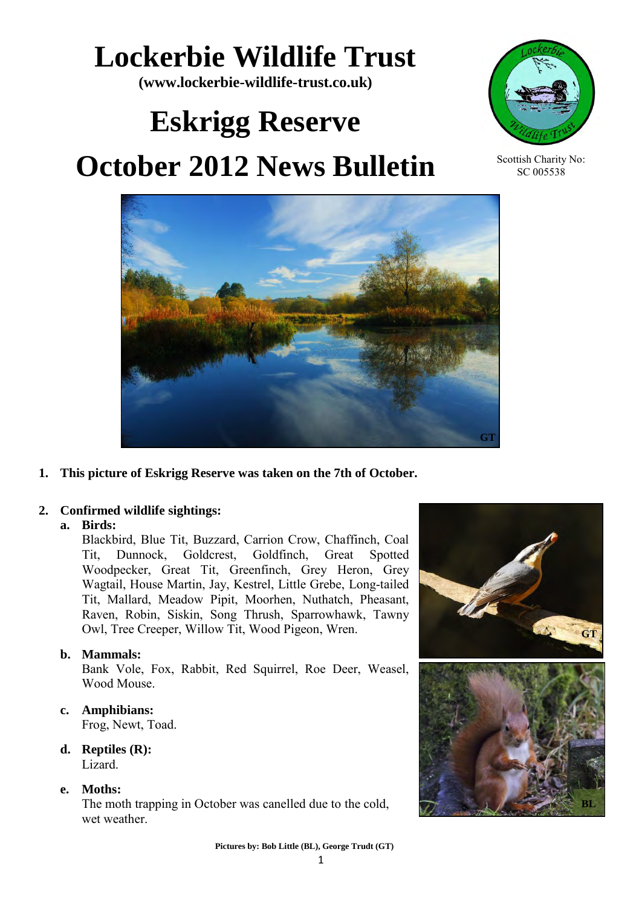# **Lockerbie Wildlife Trust**

**(www.lockerbie-wildlife-trust.co.uk)** 

# **Eskrigg Reserve October 2012 News Bulletin**



Scottish Charity No: SC 005538



**1. This picture of Eskrigg Reserve was taken on the 7th of October.**

## **2. Confirmed wildlife sightings:**

### **a. Birds:**

Blackbird, Blue Tit, Buzzard, Carrion Crow, Chaffinch, Coal Tit, Dunnock, Goldcrest, Goldfinch, Great Spotted Woodpecker, Great Tit, Greenfinch, Grey Heron, Grey Wagtail, House Martin, Jay, Kestrel, Little Grebe, Long-tailed Tit, Mallard, Meadow Pipit, Moorhen, Nuthatch, Pheasant, Raven, Robin, Siskin, Song Thrush, Sparrowhawk, Tawny Owl, Tree Creeper, Willow Tit, Wood Pigeon, Wren.

## **b. Mammals:**

Bank Vole, Fox, Rabbit, Red Squirrel, Roe Deer, Weasel, Wood Mouse.

**c. Amphibians:** 

Frog, Newt, Toad.

**d. Reptiles (R):** Lizard.

**e. Moths:** 

The moth trapping in October was canelled due to the cold, wet weather.

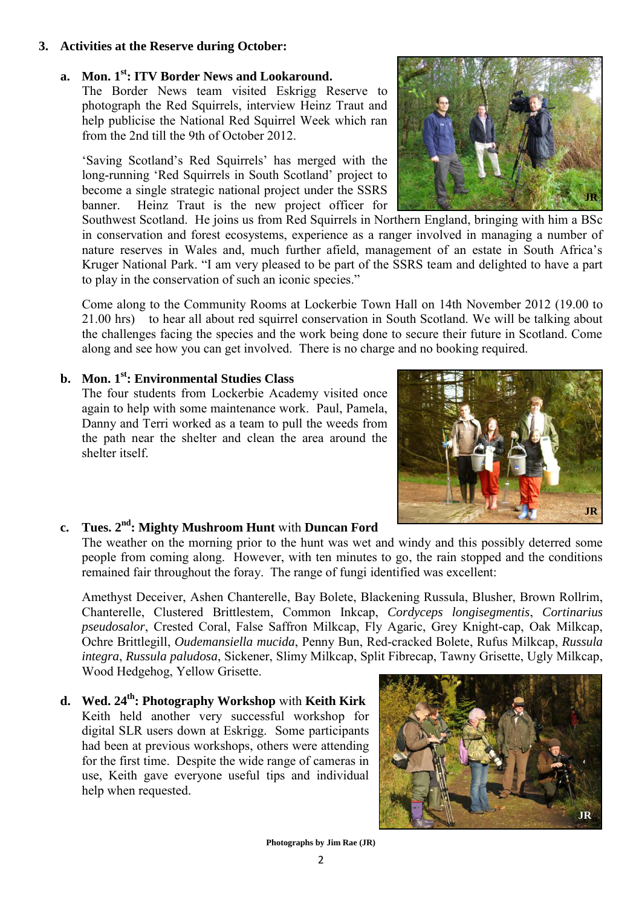2

#### **3. Activities at the Reserve during October:**

# **a. Mon. 1st: ITV Border News and Lookaround.**

The Border News team visited Eskrigg Reserve to photograph the Red Squirrels, interview Heinz Traut and help publicise the National Red Squirrel Week which ran from the 2nd till the 9th of October 2012.

'Saving Scotland's Red Squirrels' has merged with the long-running 'Red Squirrels in South Scotland' project to become a single strategic national project under the SSRS banner. Heinz Traut is the new project officer for

Southwest Scotland. He joins us from Red Squirrels in Northern England, bringing with him a BSc in conservation and forest ecosystems, experience as a ranger involved in managing a number of nature reserves in Wales and, much further afield, management of an estate in South Africa's Kruger National Park. "I am very pleased to be part of the SSRS team and delighted to have a part to play in the conservation of such an iconic species."

Come along to the Community Rooms at Lockerbie Town Hall on 14th November 2012 (19.00 to 21.00 hrs) to hear all about red squirrel conservation in South Scotland. We will be talking about the challenges facing the species and the work being done to secure their future in Scotland. Come along and see how you can get involved. There is no charge and no booking required.

### **b. Mon. 1st: Environmental Studies Class**

The four students from Lockerbie Academy visited once again to help with some maintenance work. Paul, Pamela, Danny and Terri worked as a team to pull the weeds from the path near the shelter and clean the area around the shelter itself.

## **c. Tues. 2 nd: Mighty Mushroom Hunt** with **Duncan Ford**

The weather on the morning prior to the hunt was wet and windy and this possibly deterred some people from coming along. However, with ten minutes to go, the rain stopped and the conditions remained fair throughout the foray. The range of fungi identified was excellent:

Amethyst Deceiver, Ashen Chanterelle, Bay Bolete, Blackening Russula, Blusher, Brown Rollrim, Chanterelle, Clustered Brittlestem, Common Inkcap, *Cordyceps longisegmentis*, *Cortinarius pseudosalor*, Crested Coral, False Saffron Milkcap, Fly Agaric, Grey Knight-cap, Oak Milkcap, Ochre Brittlegill, *Oudemansiella mucida*, Penny Bun, Red-cracked Bolete, Rufus Milkcap, *Russula integra*, *Russula paludosa*, Sickener, Slimy Milkcap, Split Fibrecap, Tawny Grisette, Ugly Milkcap, Wood Hedgehog, Yellow Grisette.

**d. Wed. 24th: Photography Workshop** with **Keith Kirk** Keith held another very successful workshop for digital SLR users down at Eskrigg. Some participants had been at previous workshops, others were attending for the first time. Despite the wide range of cameras in use, Keith gave everyone useful tips and individual help when requested.





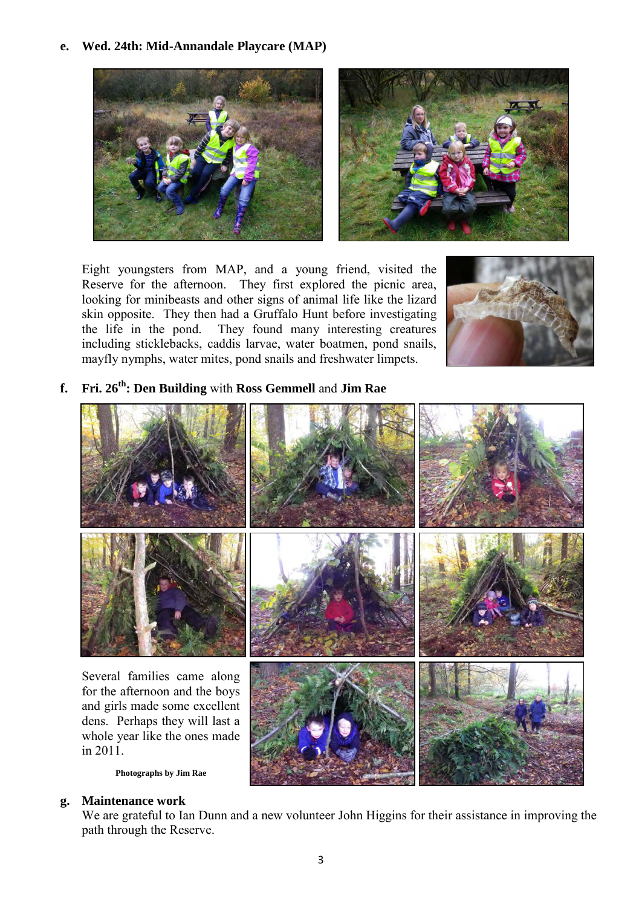**e. Wed. 24th: Mid-Annandale Playcare (MAP)** 





Eight youngsters from MAP, and a young friend, visited the Reserve for the afternoon. They first explored the picnic area, looking for minibeasts and other signs of animal life like the lizard skin opposite. They then had a Gruffalo Hunt before investigating the life in the pond. They found many interesting creatures including sticklebacks, caddis larvae, water boatmen, pond snails, mayfly nymphs, water mites, pond snails and freshwater limpets.



**f. Fri. 26th: Den Building** with **Ross Gemmell** and **Jim Rae** 



**g. Maintenance work** 

We are grateful to Ian Dunn and a new volunteer John Higgins for their assistance in improving the path through the Reserve.